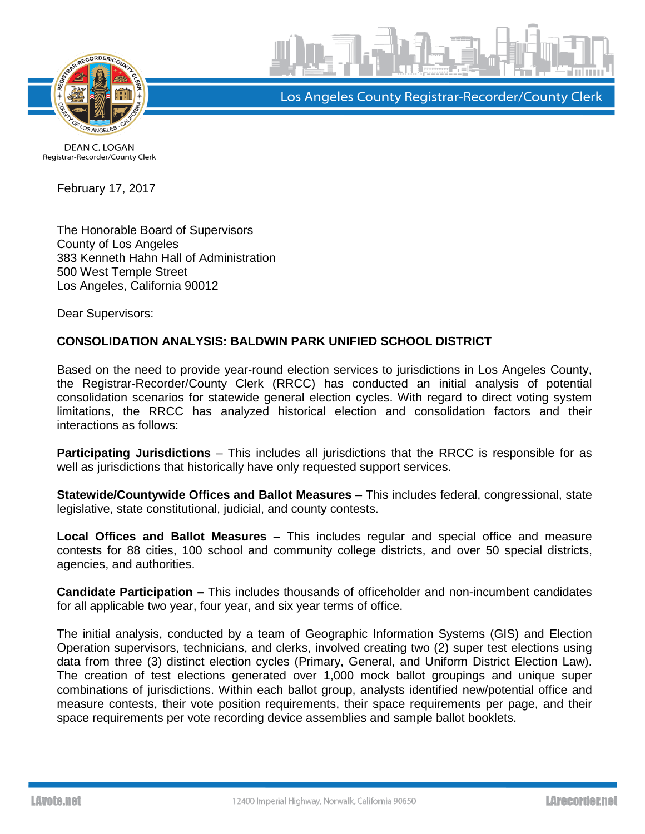



Los Angeles County Registrar-Recorder/County Clerk

**DEAN C. LOGAN** Registrar-Recorder/County Clerk

February 17, 2017

The Honorable Board of Supervisors County of Los Angeles 383 Kenneth Hahn Hall of Administration 500 West Temple Street Los Angeles, California 90012

Dear Supervisors:

## **CONSOLIDATION ANALYSIS: BALDWIN PARK UNIFIED SCHOOL DISTRICT**

Based on the need to provide year-round election services to jurisdictions in Los Angeles County, the Registrar-Recorder/County Clerk (RRCC) has conducted an initial analysis of potential consolidation scenarios for statewide general election cycles. With regard to direct voting system limitations, the RRCC has analyzed historical election and consolidation factors and their interactions as follows:

**Participating Jurisdictions** – This includes all jurisdictions that the RRCC is responsible for as well as jurisdictions that historically have only requested support services.

**Statewide/Countywide Offices and Ballot Measures** – This includes federal, congressional, state legislative, state constitutional, judicial, and county contests.

**Local Offices and Ballot Measures** – This includes regular and special office and measure contests for 88 cities, 100 school and community college districts, and over 50 special districts, agencies, and authorities.

**Candidate Participation –** This includes thousands of officeholder and non-incumbent candidates for all applicable two year, four year, and six year terms of office.

The initial analysis, conducted by a team of Geographic Information Systems (GIS) and Election Operation supervisors, technicians, and clerks, involved creating two (2) super test elections using data from three (3) distinct election cycles (Primary, General, and Uniform District Election Law). The creation of test elections generated over 1,000 mock ballot groupings and unique super combinations of jurisdictions. Within each ballot group, analysts identified new/potential office and measure contests, their vote position requirements, their space requirements per page, and their space requirements per vote recording device assemblies and sample ballot booklets.